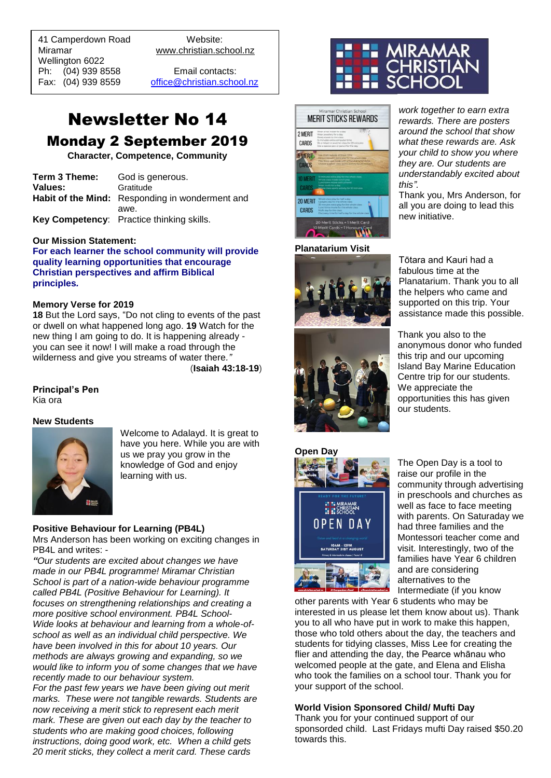41 Camperdown Road Website: Miramar www.christian.school.nz Wellington 6022 Ph: (04) 939 8558 Email contacts:

 $\overline{a}$ 

Fax: (04) 939 8559 [office@christian.school.nz](mailto:office@christian.school.nz)

# Newsletter No 14

# Monday 2 September 2019

**Character, Competence, Community**

| Term 3 Theme:  | God is generous.                                |
|----------------|-------------------------------------------------|
| <b>Values:</b> | Gratitude                                       |
|                | Habit of the Mind: Responding in wonderment and |
|                | awe.                                            |
|                | Key Competency: Practice thinking skills.       |

#### **Our Mission Statement:**

**For each learner the school community will provide quality learning opportunities that encourage Christian perspectives and affirm Biblical principles***.*

#### **Memory Verse for 2019**

**18** But the Lord says, "Do not cling to events of the past or dwell on what happened long ago. **19** Watch for the new thing I am going to do. It is happening already you can see it now! I will make a road through the wilderness and give you streams of water there*."* (**Isaiah 43:18-19**)

## **Principal's Pen**

Kia ora

#### **New Students**



Welcome to Adalayd. It is great to have you here. While you are with us we pray you grow in the knowledge of God and enjoy learning with us.

#### **Positive Behaviour for Learning (PB4L)**

Mrs Anderson has been working on exciting changes in PB4L and writes: -

*"Our students are excited about changes we have made in our PB4L programme! Miramar Christian School is part of a nation-wide behaviour programme called PB4L (Positive Behaviour for Learning). It focuses on strengthening relationships and creating a more positive school environment. PB4L School-Wide looks at behaviour and learning from a whole-ofschool as well as an individual child perspective. We have been involved in this for about 10 years. Our methods are always growing and expanding, so we would like to inform you of some changes that we have recently made to our behaviour system.*

*For the past few years we have been giving out merit marks. These were not tangible rewards. Students are now receiving a merit stick to represent each merit mark. These are given out each day by the teacher to students who are making good choices, following instructions, doing good work, etc. When a child gets 20 merit sticks, they collect a merit card. These cards* 



*this".*



#### **Planatarium Visit**



all you are doing to lead this new initiative. Tōtara and Kauri had a

Thank you, Mrs Anderson, for

*work together to earn extra rewards. There are posters around the school that show what these rewards are. Ask* 

*they are. Our students are understandably excited about* 

fabulous time at the Planatarium. Thank you to all the helpers who came and supported on this trip. Your assistance made this possible.



Thank you also to the anonymous donor who funded this trip and our upcoming Island Bay Marine Education Centre trip for our students. We appreciate the opportunities this has given our students.



The Open Day is a tool to raise our profile in the community through advertising in preschools and churches as well as face to face meeting with parents. On Saturaday we had three families and the Montessori teacher come and visit. Interestingly, two of the families have Year 6 children and are considering alternatives to the Intermediate (if you know

other parents with Year 6 students who may be interested in us please let them know about us). Thank you to all who have put in work to make this happen, those who told others about the day, the teachers and students for tidying classes, Miss Lee for creating the flier and attending the day, the Pearce whānau who welcomed people at the gate, and Elena and Elisha who took the families on a school tour. Thank you for your support of the school.

#### **World Vision Sponsored Child/ Mufti Day**

Thank you for your continued support of our sponsorded child. Last Fridays mufti Day raised \$50.20 towards this.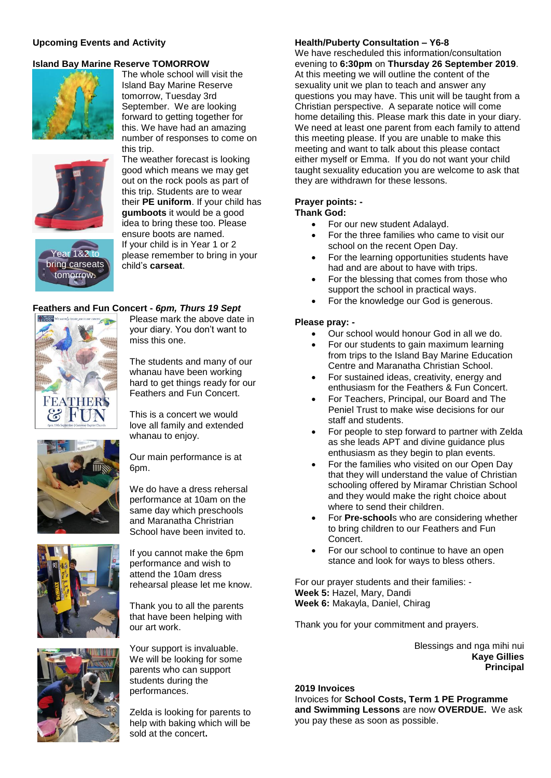#### **Upcoming Events and Activity**

#### **Island Bay Marine Reserve TOMORROW**



The whole school will visit the Island Bay Marine Reserve tomorrow, Tuesday 3rd September. We are looking forward to getting together for this. We have had an amazing number of responses to come on this trip.



Year 1&2 to bring carseats tomorrow.

The weather forecast is looking good which means we may get out on the rock pools as part of this trip. Students are to wear their **PE uniform**. If your child has **gumboots** it would be a good idea to bring these too. Please ensure boots are named. If your child is in Year 1 or 2 please remember to bring in your child's **carseat**.

#### **Feathers and Fun Concert -** *6pm, Thurs 19 Sept*



Please mark the above date in your diary. You don't want to miss this one.

The students and many of our whanau have been working hard to get things ready for our Feathers and Fun Concert.

This is a concert we would love all family and extended whanau to enjoy.

Our main performance is at 6pm.

We do have a dress rehersal performance at 10am on the same day which preschools and Maranatha Christrian School have been invited to.





If you cannot make the 6pm performance and wish to attend the 10am dress rehearsal please let me know.

Thank you to all the parents that have been helping with our art work.

Your support is invaluable. We will be looking for some parents who can support students during the performances.

Zelda is looking for parents to help with baking which will be sold at the concert**.**

#### **Health/Puberty Consultation – Y6-8**

We have rescheduled this information/consultation evening to **6:30pm** on **Thursday 26 September 2019**. At this meeting we will outline the content of the sexuality unit we plan to teach and answer any questions you may have. This unit will be taught from a Christian perspective. A separate notice will come home detailing this. Please mark this date in your diary. We need at least one parent from each family to attend this meeting please. If you are unable to make this meeting and want to talk about this please contact either myself or Emma. If you do not want your child taught sexuality education you are welcome to ask that they are withdrawn for these lessons.

#### **Prayer points: - Thank God:**

- 
- For our new student Adalayd.
- For the three families who came to visit our school on the recent Open Day.
- For the learning opportunities students have had and are about to have with trips.
- For the blessing that comes from those who support the school in practical ways.
- For the knowledge our God is generous.

#### **Please pray: -**

- Our school would honour God in all we do.
- For our students to gain maximum learning from trips to the Island Bay Marine Education Centre and Maranatha Christian School.
- For sustained ideas, creativity, energy and enthusiasm for the Feathers & Fun Concert.
- For Teachers, Principal, our Board and The Peniel Trust to make wise decisions for our staff and students.
- For people to step forward to partner with Zelda as she leads APT and divine guidance plus enthusiasm as they begin to plan events.
- For the families who visited on our Open Day that they will understand the value of Christian schooling offered by Miramar Christian School and they would make the right choice about where to send their children.
- For **Pre-school**s who are considering whether to bring children to our Feathers and Fun Concert.
- For our school to continue to have an open stance and look for ways to bless others.

For our prayer students and their families: - **Week 5:** Hazel, Mary, Dandi **Week 6:** Makayla, Daniel, Chirag

Thank you for your commitment and prayers.

Blessings and nga mihi nui **Kaye Gillies Principal**

#### **2019 Invoices**

Invoices for **School Costs, Term 1 PE Programme and Swimming Lessons** are now **OVERDUE.** We ask you pay these as soon as possible.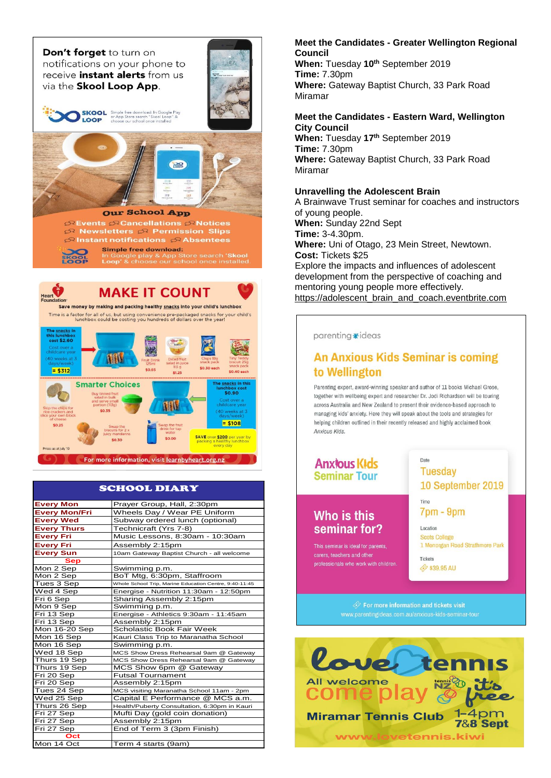Don't forget to turn on notifications on your phone to receive *instant* alerts from us via the Skool Loop App.





SKOOL Simple free download: In Google Play<br>or App Store search "Skool Loop" &<br>LOOP choose our school once installed



*S* Events SeCancellations SeNotices R Newsletters R Permission Slips  $\mathfrak{S}$  Instant notifications  $\mathfrak{S}$  Absentees **Simple free download:** Google play & App Store search **'Skool**<br><mark>op</mark>' & choose our school once installed

**MAKE IT COUNT** Save money by making and packing healthy snacks into your child's lunchbox

Time is a factor for all of us, but using convenience pre-packaged snacks for your child's<br>lunchbox could be costing you hundreds of dollars over the year!



#### SCHOOL DIARY

| <b>Every Mon</b>     | Prayer Group, Hall, 2:30pm                             |
|----------------------|--------------------------------------------------------|
| <b>Every Mon/Fri</b> | Wheels Day / Wear PE Uniform                           |
| <b>Every Wed</b>     | Subway ordered lunch (optional)                        |
| <b>Every Thurs</b>   | Technicraft (Yrs 7-8)                                  |
| <b>Every Fri</b>     | Music Lessons, 8:30am - 10:30am                        |
| <b>Every Fri</b>     | Assembly 2:15pm                                        |
| <b>Every Sun</b>     | 10am Gateway Baptist Church - all welcome              |
| <b>Sep</b>           |                                                        |
| Mon 2 Sep            | Swimming p.m.                                          |
| Mon 2 Sep            | BoT Mtg, 6:30pm, Staffroom                             |
| Tues 3 Sep           | Whole School Trip, Marine Education Centre, 9:40-11:45 |
| Wed 4 Sep            | Energise - Nutrition 11:30am - 12:50pm                 |
| Fri 6 Sep            | Sharing Assembly 2:15pm                                |
| Mon 9 Sep            | Swimming p.m.                                          |
| Fri 13 Sep           | Energise - Athletics 9:30am - 11:45am                  |
| Fri 13 Sep           | Assembly 2:15pm                                        |
| Mon 16-20 Sep        | Scholastic Book Fair Week                              |
| Mon 16 Sep           | Kauri Class Trip to Maranatha School                   |
| Mon 16 Sep           | Swimming p.m.                                          |
| Wed 18 Sep           | MCS Show Dress Rehearsal 9am @ Gateway                 |
| Thurs 19 Sep         | MCS Show Dress Rehearsal 9am @ Gateway                 |
| Thurs 19 Sep         | MCS Show 6pm @ Gateway                                 |
| Fri 20 Sep           | <b>Futsal Tournament</b>                               |
| Fri 20 Sep           | Assembly 2:15pm                                        |
| Tues 24 Sep          | MCS visiting Maranatha School 11am - 2pm               |
| Wed 25 Sep           | Capital E Performance @ MCS a.m.                       |
| Thurs 26 Sep         | Health/Puberty Consultation, 6:30pm in Kauri           |
| Fri 27 Sep           | Mufti Day (gold coin donation)                         |
| Fri 27 Sep           | Assembly 2:15pm                                        |
| Fri 27 Sep           | End of Term 3 (3pm Finish)                             |
| Oct                  |                                                        |
| Mon 14 Oct           | Term 4 starts (9am)                                    |

#### **Meet the Candidates - Greater Wellington Regional Council**

**When:** Tuesday **10th** September 2019 **Time:** 7.30pm **Where:** Gateway Baptist Church, 33 Park Road Miramar

#### **Meet the Candidates - Eastern Ward, Wellington City Council**

**When:** Tuesday **17th** September 2019 **Time:** 7.30pm **Where:** Gateway Baptist Church, 33 Park Road Miramar

#### **Unravelling the Adolescent Brain**

A Brainwave Trust seminar for coaches and instructors of young people. **When:** Sunday 22nd Sept **Time:** 3-4.30pm. **Where:** Uni of Otago, 23 Mein Street, Newtown. **Cost:** Tickets \$25 Explore the impacts and influences of adolescent development from the perspective of coaching and mentoring young people more effectively. [https://adolescent\\_brain\\_and\\_coach.eventbrite.com](https://adolescent_brain_and_coach.eventbrite.com/)

parentina \*ideas

### **An Anxious Kids Seminar is coming** to Wellington

Parenting expert, award-winning speaker and author of 11 books Michael Grose, together with wellbeing expert and researcher Dr. Jodi Richardson will be touring across Australia and New Zealand to present their evidence-based approach to managing kids' anxiety. Here they will sneak about the tools and strategies for helping children outlined in their recently released and highly acclaimed book Anxious Kids



### Who is this seminar for?

This seminar is ideal for parents. carers, teachers and other professionals who work with children. **Tuesday** 10 September 2019 Time

 $7<sub>pm</sub> - 9<sub>pm</sub>$ 

Date

Location **Scots College** 1 Monorgan Road Strathmore Park

Tickets **→ \$39.95 AU** 

 $\hat{\ll}$  For more information and tickets visit